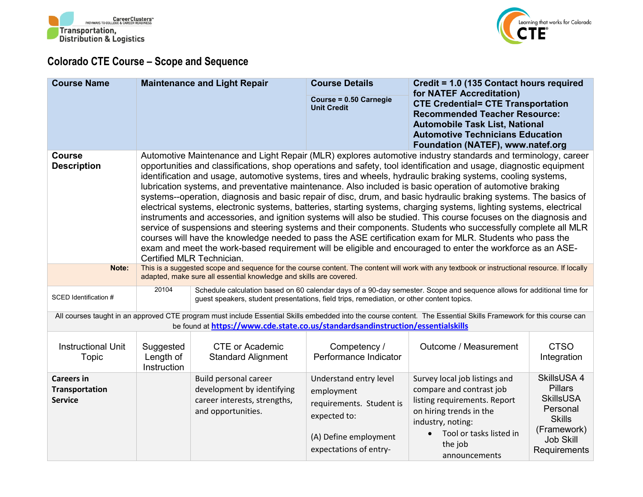



## **Colorado CTE Course – Scope and Sequence**

| <b>Course Name</b>                                           |                                                                                                                                                                                                                    | <b>Maintenance and Light Repair</b>                                                                              | <b>Course Details</b><br>Course = 0.50 Carnegie<br><b>Unit Credit</b>                                                               | Credit = 1.0 (135 Contact hours required<br>for NATEF Accreditation)<br><b>CTE Credential= CTE Transportation</b><br><b>Recommended Teacher Resource:</b><br><b>Automobile Task List, National</b><br><b>Automotive Technicians Education</b><br>Foundation (NATEF), www.natef.org                                                                                                                                                                                                                                                                                                                                                                                                                                                                                                                                                                                                                                                                                                                                                                                                                                                                                      |                                                                                                                                   |
|--------------------------------------------------------------|--------------------------------------------------------------------------------------------------------------------------------------------------------------------------------------------------------------------|------------------------------------------------------------------------------------------------------------------|-------------------------------------------------------------------------------------------------------------------------------------|-------------------------------------------------------------------------------------------------------------------------------------------------------------------------------------------------------------------------------------------------------------------------------------------------------------------------------------------------------------------------------------------------------------------------------------------------------------------------------------------------------------------------------------------------------------------------------------------------------------------------------------------------------------------------------------------------------------------------------------------------------------------------------------------------------------------------------------------------------------------------------------------------------------------------------------------------------------------------------------------------------------------------------------------------------------------------------------------------------------------------------------------------------------------------|-----------------------------------------------------------------------------------------------------------------------------------|
| <b>Course</b><br><b>Description</b>                          |                                                                                                                                                                                                                    | Certified MLR Technician.                                                                                        |                                                                                                                                     | Automotive Maintenance and Light Repair (MLR) explores automotive industry standards and terminology, career<br>opportunities and classifications, shop operations and safety, tool identification and usage, diagnostic equipment<br>identification and usage, automotive systems, tires and wheels, hydraulic braking systems, cooling systems,<br>lubrication systems, and preventative maintenance. Also included is basic operation of automotive braking<br>systems--operation, diagnosis and basic repair of disc, drum, and basic hydraulic braking systems. The basics of<br>electrical systems, electronic systems, batteries, starting systems, charging systems, lighting systems, electrical<br>instruments and accessories, and ignition systems will also be studied. This course focuses on the diagnosis and<br>service of suspensions and steering systems and their components. Students who successfully complete all MLR<br>courses will have the knowledge needed to pass the ASE certification exam for MLR. Students who pass the<br>exam and meet the work-based requirement will be eligible and encouraged to enter the workforce as an ASE- |                                                                                                                                   |
| Note:                                                        | This is a suggested scope and sequence for the course content. The content will work with any textbook or instructional resource. If locally<br>adapted, make sure all essential knowledge and skills are covered. |                                                                                                                  |                                                                                                                                     |                                                                                                                                                                                                                                                                                                                                                                                                                                                                                                                                                                                                                                                                                                                                                                                                                                                                                                                                                                                                                                                                                                                                                                         |                                                                                                                                   |
| SCED Identification #                                        | 20104                                                                                                                                                                                                              | guest speakers, student presentations, field trips, remediation, or other content topics.                        |                                                                                                                                     | Schedule calculation based on 60 calendar days of a 90-day semester. Scope and sequence allows for additional time for                                                                                                                                                                                                                                                                                                                                                                                                                                                                                                                                                                                                                                                                                                                                                                                                                                                                                                                                                                                                                                                  |                                                                                                                                   |
|                                                              |                                                                                                                                                                                                                    | be found at https://www.cde.state.co.us/standardsandinstruction/essentialskills                                  |                                                                                                                                     | All courses taught in an approved CTE program must include Essential Skills embedded into the course content. The Essential Skills Framework for this course can                                                                                                                                                                                                                                                                                                                                                                                                                                                                                                                                                                                                                                                                                                                                                                                                                                                                                                                                                                                                        |                                                                                                                                   |
| <b>Instructional Unit</b><br>Topic                           | Suggested<br>Length of<br>Instruction                                                                                                                                                                              | <b>CTE or Academic</b><br><b>Standard Alignment</b>                                                              | Competency /<br>Performance Indicator                                                                                               | Outcome / Measurement                                                                                                                                                                                                                                                                                                                                                                                                                                                                                                                                                                                                                                                                                                                                                                                                                                                                                                                                                                                                                                                                                                                                                   | <b>CTSO</b><br>Integration                                                                                                        |
| <b>Careers in</b><br><b>Transportation</b><br><b>Service</b> |                                                                                                                                                                                                                    | <b>Build personal career</b><br>development by identifying<br>career interests, strengths,<br>and opportunities. | Understand entry level<br>employment<br>requirements. Student is<br>expected to:<br>(A) Define employment<br>expectations of entry- | Survey local job listings and<br>compare and contrast job<br>listing requirements. Report<br>on hiring trends in the<br>industry, noting:<br>Tool or tasks listed in<br>$\bullet$<br>the job<br>announcements                                                                                                                                                                                                                                                                                                                                                                                                                                                                                                                                                                                                                                                                                                                                                                                                                                                                                                                                                           | SkillsUSA 4<br><b>Pillars</b><br><b>SkillsUSA</b><br>Personal<br><b>Skills</b><br>(Framework)<br><b>Job Skill</b><br>Requirements |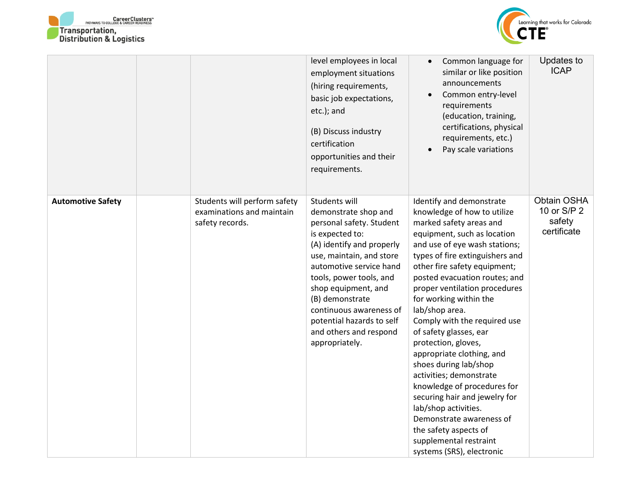



|                          |                                                                              | level employees in local<br>employment situations<br>(hiring requirements,<br>basic job expectations,<br>etc.); and<br>(B) Discuss industry<br>certification<br>opportunities and their<br>requirements.                                                                                                                                          | Common language for<br>similar or like position<br>announcements<br>Common entry-level<br>requirements<br>(education, training,<br>certifications, physical<br>requirements, etc.)<br>Pay scale variations                                                                                                                                                                                                                                                                                                                                                                                                                                                                                                | Updates to<br><b>ICAP</b>                           |
|--------------------------|------------------------------------------------------------------------------|---------------------------------------------------------------------------------------------------------------------------------------------------------------------------------------------------------------------------------------------------------------------------------------------------------------------------------------------------|-----------------------------------------------------------------------------------------------------------------------------------------------------------------------------------------------------------------------------------------------------------------------------------------------------------------------------------------------------------------------------------------------------------------------------------------------------------------------------------------------------------------------------------------------------------------------------------------------------------------------------------------------------------------------------------------------------------|-----------------------------------------------------|
| <b>Automotive Safety</b> | Students will perform safety<br>examinations and maintain<br>safety records. | Students will<br>demonstrate shop and<br>personal safety. Student<br>is expected to:<br>(A) identify and properly<br>use, maintain, and store<br>automotive service hand<br>tools, power tools, and<br>shop equipment, and<br>(B) demonstrate<br>continuous awareness of<br>potential hazards to self<br>and others and respond<br>appropriately. | Identify and demonstrate<br>knowledge of how to utilize<br>marked safety areas and<br>equipment, such as location<br>and use of eye wash stations;<br>types of fire extinguishers and<br>other fire safety equipment;<br>posted evacuation routes; and<br>proper ventilation procedures<br>for working within the<br>lab/shop area.<br>Comply with the required use<br>of safety glasses, ear<br>protection, gloves,<br>appropriate clothing, and<br>shoes during lab/shop<br>activities; demonstrate<br>knowledge of procedures for<br>securing hair and jewelry for<br>lab/shop activities.<br>Demonstrate awareness of<br>the safety aspects of<br>supplemental restraint<br>systems (SRS), electronic | Obtain OSHA<br>10 or S/P 2<br>safety<br>certificate |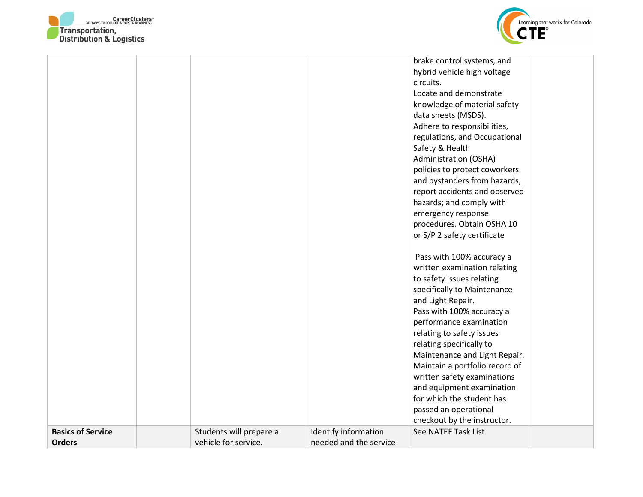



|                          |                         |                        | brake control systems, and     |  |
|--------------------------|-------------------------|------------------------|--------------------------------|--|
|                          |                         |                        | hybrid vehicle high voltage    |  |
|                          |                         |                        | circuits.                      |  |
|                          |                         |                        | Locate and demonstrate         |  |
|                          |                         |                        | knowledge of material safety   |  |
|                          |                         |                        | data sheets (MSDS).            |  |
|                          |                         |                        | Adhere to responsibilities,    |  |
|                          |                         |                        | regulations, and Occupational  |  |
|                          |                         |                        | Safety & Health                |  |
|                          |                         |                        | Administration (OSHA)          |  |
|                          |                         |                        | policies to protect coworkers  |  |
|                          |                         |                        | and bystanders from hazards;   |  |
|                          |                         |                        | report accidents and observed  |  |
|                          |                         |                        | hazards; and comply with       |  |
|                          |                         |                        | emergency response             |  |
|                          |                         |                        | procedures. Obtain OSHA 10     |  |
|                          |                         |                        | or S/P 2 safety certificate    |  |
|                          |                         |                        |                                |  |
|                          |                         |                        | Pass with 100% accuracy a      |  |
|                          |                         |                        | written examination relating   |  |
|                          |                         |                        | to safety issues relating      |  |
|                          |                         |                        | specifically to Maintenance    |  |
|                          |                         |                        | and Light Repair.              |  |
|                          |                         |                        | Pass with 100% accuracy a      |  |
|                          |                         |                        | performance examination        |  |
|                          |                         |                        | relating to safety issues      |  |
|                          |                         |                        | relating specifically to       |  |
|                          |                         |                        | Maintenance and Light Repair.  |  |
|                          |                         |                        | Maintain a portfolio record of |  |
|                          |                         |                        | written safety examinations    |  |
|                          |                         |                        | and equipment examination      |  |
|                          |                         |                        | for which the student has      |  |
|                          |                         |                        | passed an operational          |  |
|                          |                         |                        | checkout by the instructor.    |  |
| <b>Basics of Service</b> | Students will prepare a | Identify information   | See NATEF Task List            |  |
| <b>Orders</b>            | vehicle for service.    | needed and the service |                                |  |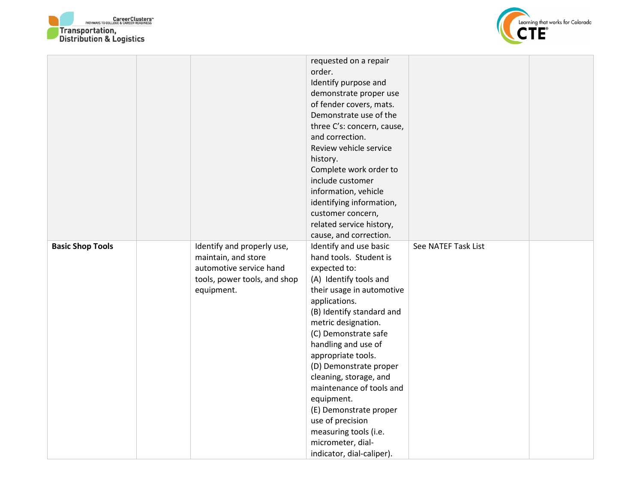



|                         |                              | requested on a repair<br>order.<br>Identify purpose and<br>demonstrate proper use<br>of fender covers, mats.<br>Demonstrate use of the<br>three C's: concern, cause,<br>and correction.<br>Review vehicle service |                     |  |
|-------------------------|------------------------------|-------------------------------------------------------------------------------------------------------------------------------------------------------------------------------------------------------------------|---------------------|--|
|                         |                              | history.                                                                                                                                                                                                          |                     |  |
|                         |                              | Complete work order to                                                                                                                                                                                            |                     |  |
|                         |                              | include customer                                                                                                                                                                                                  |                     |  |
|                         |                              | information, vehicle                                                                                                                                                                                              |                     |  |
|                         |                              | identifying information,                                                                                                                                                                                          |                     |  |
|                         |                              | customer concern,                                                                                                                                                                                                 |                     |  |
|                         |                              | related service history,<br>cause, and correction.                                                                                                                                                                |                     |  |
| <b>Basic Shop Tools</b> | Identify and properly use,   | Identify and use basic                                                                                                                                                                                            | See NATEF Task List |  |
|                         | maintain, and store          | hand tools. Student is                                                                                                                                                                                            |                     |  |
|                         | automotive service hand      | expected to:                                                                                                                                                                                                      |                     |  |
|                         | tools, power tools, and shop | (A) Identify tools and                                                                                                                                                                                            |                     |  |
|                         | equipment.                   | their usage in automotive                                                                                                                                                                                         |                     |  |
|                         |                              | applications.                                                                                                                                                                                                     |                     |  |
|                         |                              | (B) Identify standard and                                                                                                                                                                                         |                     |  |
|                         |                              | metric designation.                                                                                                                                                                                               |                     |  |
|                         |                              | (C) Demonstrate safe                                                                                                                                                                                              |                     |  |
|                         |                              | handling and use of                                                                                                                                                                                               |                     |  |
|                         |                              | appropriate tools.                                                                                                                                                                                                |                     |  |
|                         |                              | (D) Demonstrate proper                                                                                                                                                                                            |                     |  |
|                         |                              | cleaning, storage, and<br>maintenance of tools and                                                                                                                                                                |                     |  |
|                         |                              | equipment.                                                                                                                                                                                                        |                     |  |
|                         |                              | (E) Demonstrate proper                                                                                                                                                                                            |                     |  |
|                         |                              | use of precision                                                                                                                                                                                                  |                     |  |
|                         |                              | measuring tools (i.e.                                                                                                                                                                                             |                     |  |
|                         |                              | micrometer, dial-                                                                                                                                                                                                 |                     |  |
|                         |                              | indicator, dial-caliper).                                                                                                                                                                                         |                     |  |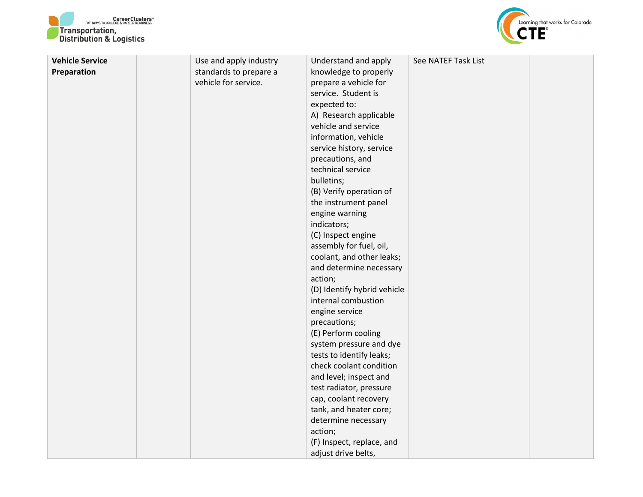



| <b>Vehicle Service</b> | Use and apply industry | Understand and apply        | See NATEF Task List |  |
|------------------------|------------------------|-----------------------------|---------------------|--|
| Preparation            | standards to prepare a | knowledge to properly       |                     |  |
|                        | vehicle for service.   | prepare a vehicle for       |                     |  |
|                        |                        | service. Student is         |                     |  |
|                        |                        | expected to:                |                     |  |
|                        |                        | A) Research applicable      |                     |  |
|                        |                        | vehicle and service         |                     |  |
|                        |                        | information, vehicle        |                     |  |
|                        |                        | service history, service    |                     |  |
|                        |                        | precautions, and            |                     |  |
|                        |                        | technical service           |                     |  |
|                        |                        | bulletins;                  |                     |  |
|                        |                        | (B) Verify operation of     |                     |  |
|                        |                        | the instrument panel        |                     |  |
|                        |                        | engine warning              |                     |  |
|                        |                        | indicators;                 |                     |  |
|                        |                        | (C) Inspect engine          |                     |  |
|                        |                        | assembly for fuel, oil,     |                     |  |
|                        |                        | coolant, and other leaks;   |                     |  |
|                        |                        | and determine necessary     |                     |  |
|                        |                        | action;                     |                     |  |
|                        |                        | (D) Identify hybrid vehicle |                     |  |
|                        |                        | internal combustion         |                     |  |
|                        |                        | engine service              |                     |  |
|                        |                        | precautions;                |                     |  |
|                        |                        | (E) Perform cooling         |                     |  |
|                        |                        | system pressure and dye     |                     |  |
|                        |                        | tests to identify leaks;    |                     |  |
|                        |                        | check coolant condition     |                     |  |
|                        |                        | and level; inspect and      |                     |  |
|                        |                        | test radiator, pressure     |                     |  |
|                        |                        | cap, coolant recovery       |                     |  |
|                        |                        | tank, and heater core;      |                     |  |
|                        |                        | determine necessary         |                     |  |
|                        |                        | action;                     |                     |  |
|                        |                        | (F) Inspect, replace, and   |                     |  |
|                        |                        | adjust drive belts,         |                     |  |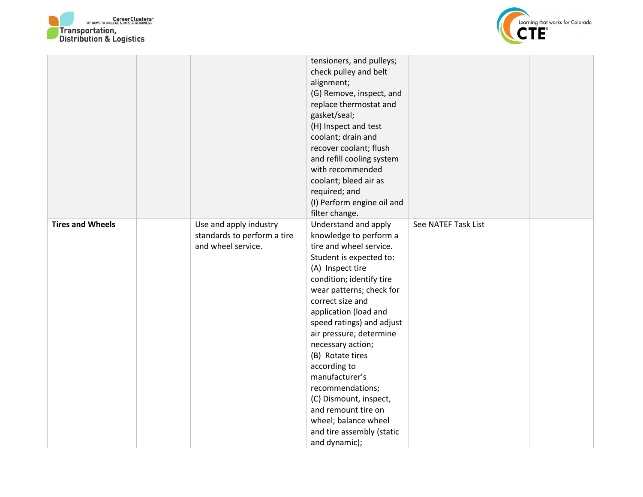



|                         |                             | tensioners, and pulleys;   |                     |  |
|-------------------------|-----------------------------|----------------------------|---------------------|--|
|                         |                             | check pulley and belt      |                     |  |
|                         |                             | alignment;                 |                     |  |
|                         |                             | (G) Remove, inspect, and   |                     |  |
|                         |                             | replace thermostat and     |                     |  |
|                         |                             | gasket/seal;               |                     |  |
|                         |                             | (H) Inspect and test       |                     |  |
|                         |                             | coolant; drain and         |                     |  |
|                         |                             | recover coolant; flush     |                     |  |
|                         |                             | and refill cooling system  |                     |  |
|                         |                             | with recommended           |                     |  |
|                         |                             | coolant; bleed air as      |                     |  |
|                         |                             | required; and              |                     |  |
|                         |                             | (I) Perform engine oil and |                     |  |
|                         |                             | filter change.             |                     |  |
| <b>Tires and Wheels</b> | Use and apply industry      | Understand and apply       | See NATEF Task List |  |
|                         | standards to perform a tire | knowledge to perform a     |                     |  |
|                         | and wheel service.          | tire and wheel service.    |                     |  |
|                         |                             | Student is expected to:    |                     |  |
|                         |                             | (A) Inspect tire           |                     |  |
|                         |                             | condition; identify tire   |                     |  |
|                         |                             | wear patterns; check for   |                     |  |
|                         |                             | correct size and           |                     |  |
|                         |                             | application (load and      |                     |  |
|                         |                             | speed ratings) and adjust  |                     |  |
|                         |                             | air pressure; determine    |                     |  |
|                         |                             | necessary action;          |                     |  |
|                         |                             | (B) Rotate tires           |                     |  |
|                         |                             | according to               |                     |  |
|                         |                             | manufacturer's             |                     |  |
|                         |                             | recommendations;           |                     |  |
|                         |                             | (C) Dismount, inspect,     |                     |  |
|                         |                             | and remount tire on        |                     |  |
|                         |                             | wheel; balance wheel       |                     |  |
|                         |                             | and tire assembly (static  |                     |  |
|                         |                             | and dynamic);              |                     |  |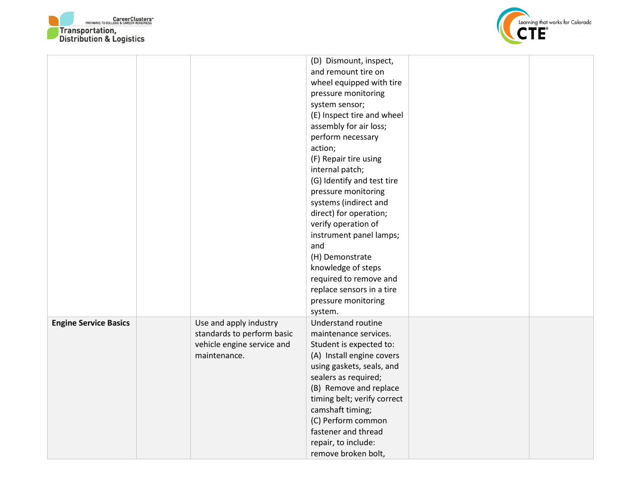



|                              |                            | (D) Dismount, inspect,      |  |
|------------------------------|----------------------------|-----------------------------|--|
|                              |                            | and remount tire on         |  |
|                              |                            | wheel equipped with tire    |  |
|                              |                            | pressure monitoring         |  |
|                              |                            | system sensor;              |  |
|                              |                            | (E) Inspect tire and wheel  |  |
|                              |                            | assembly for air loss;      |  |
|                              |                            | perform necessary           |  |
|                              |                            | action;                     |  |
|                              |                            | (F) Repair tire using       |  |
|                              |                            | internal patch;             |  |
|                              |                            | (G) Identify and test tire  |  |
|                              |                            | pressure monitoring         |  |
|                              |                            | systems (indirect and       |  |
|                              |                            | direct) for operation;      |  |
|                              |                            | verify operation of         |  |
|                              |                            | instrument panel lamps;     |  |
|                              |                            | and                         |  |
|                              |                            | (H) Demonstrate             |  |
|                              |                            | knowledge of steps          |  |
|                              |                            | required to remove and      |  |
|                              |                            | replace sensors in a tire   |  |
|                              |                            | pressure monitoring         |  |
|                              |                            | system.                     |  |
| <b>Engine Service Basics</b> | Use and apply industry     | <b>Understand routine</b>   |  |
|                              | standards to perform basic | maintenance services.       |  |
|                              | vehicle engine service and | Student is expected to:     |  |
|                              | maintenance.               | (A) Install engine covers   |  |
|                              |                            | using gaskets, seals, and   |  |
|                              |                            | sealers as required;        |  |
|                              |                            | (B) Remove and replace      |  |
|                              |                            | timing belt; verify correct |  |
|                              |                            | camshaft timing;            |  |
|                              |                            | (C) Perform common          |  |
|                              |                            | fastener and thread         |  |
|                              |                            | repair, to include:         |  |
|                              |                            | remove broken bolt,         |  |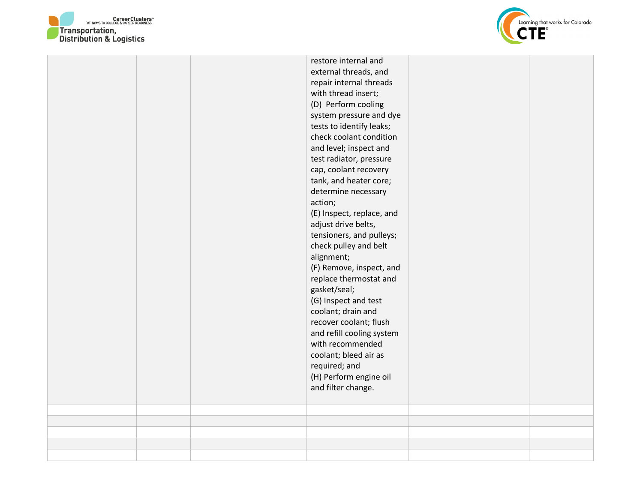



|  | restore internal and<br>external threads, and<br>repair internal threads<br>with thread insert;<br>(D) Perform cooling<br>system pressure and dye<br>tests to identify leaks;<br>check coolant condition<br>and level; inspect and<br>test radiator, pressure<br>cap, coolant recovery<br>tank, and heater core;<br>determine necessary<br>action;<br>(E) Inspect, replace, and<br>adjust drive belts,<br>tensioners, and pulleys;<br>check pulley and belt<br>alignment;<br>(F) Remove, inspect, and<br>replace thermostat and<br>gasket/seal;<br>(G) Inspect and test<br>coolant; drain and<br>recover coolant; flush<br>and refill cooling system<br>with recommended<br>coolant; bleed air as<br>required; and<br>(H) Perform engine oil |  |
|--|----------------------------------------------------------------------------------------------------------------------------------------------------------------------------------------------------------------------------------------------------------------------------------------------------------------------------------------------------------------------------------------------------------------------------------------------------------------------------------------------------------------------------------------------------------------------------------------------------------------------------------------------------------------------------------------------------------------------------------------------|--|
|  | and filter change.                                                                                                                                                                                                                                                                                                                                                                                                                                                                                                                                                                                                                                                                                                                           |  |
|  |                                                                                                                                                                                                                                                                                                                                                                                                                                                                                                                                                                                                                                                                                                                                              |  |
|  |                                                                                                                                                                                                                                                                                                                                                                                                                                                                                                                                                                                                                                                                                                                                              |  |
|  |                                                                                                                                                                                                                                                                                                                                                                                                                                                                                                                                                                                                                                                                                                                                              |  |
|  |                                                                                                                                                                                                                                                                                                                                                                                                                                                                                                                                                                                                                                                                                                                                              |  |
|  |                                                                                                                                                                                                                                                                                                                                                                                                                                                                                                                                                                                                                                                                                                                                              |  |
|  |                                                                                                                                                                                                                                                                                                                                                                                                                                                                                                                                                                                                                                                                                                                                              |  |